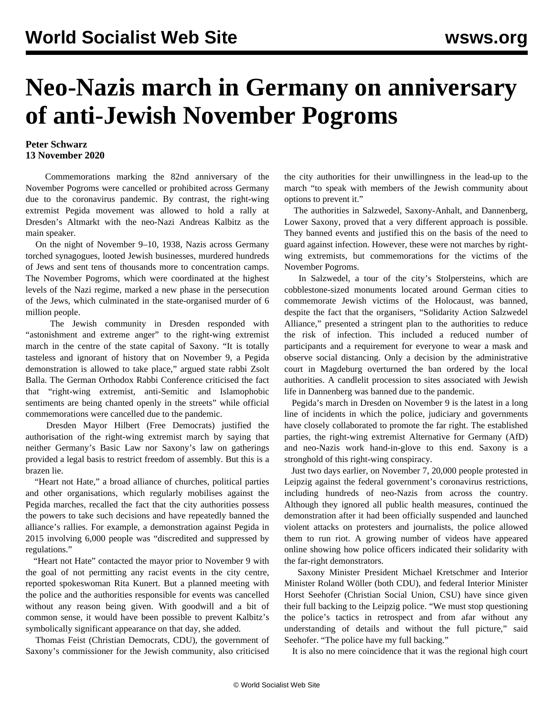## **Neo-Nazis march in Germany on anniversary of anti-Jewish November Pogroms**

## **Peter Schwarz 13 November 2020**

 Commemorations marking the 82nd anniversary of the November Pogroms were cancelled or prohibited across Germany due to the coronavirus pandemic. By contrast, the right-wing extremist Pegida movement was allowed to hold a rally at Dresden's Altmarkt with the neo-Nazi Andreas Kalbitz as the main speaker.

 On the night of November 9–10, 1938, Nazis across Germany torched synagogues, looted Jewish businesses, murdered hundreds of Jews and sent tens of thousands more to concentration camps. The November Pogroms, which were coordinated at the highest levels of the Nazi regime, marked a new phase in the persecution of the Jews, which culminated in the state-organised murder of 6 million people.

 The Jewish community in Dresden responded with "astonishment and extreme anger" to the right-wing extremist march in the centre of the state capital of Saxony. "It is totally tasteless and ignorant of history that on November 9, a Pegida demonstration is allowed to take place," argued state rabbi Zsolt Balla. The German Orthodox Rabbi Conference criticised the fact that "right-wing extremist, anti-Semitic and Islamophobic sentiments are being chanted openly in the streets" while official commemorations were cancelled due to the pandemic.

 Dresden Mayor Hilbert (Free Democrats) justified the authorisation of the right-wing extremist march by saying that neither Germany's Basic Law nor Saxony's law on gatherings provided a legal basis to restrict freedom of assembly. But this is a brazen lie.

 "Heart not Hate," a broad alliance of churches, political parties and other organisations, which regularly mobilises against the Pegida marches, recalled the fact that the city authorities possess the powers to take such decisions and have repeatedly banned the alliance's rallies. For example, a demonstration against Pegida in 2015 involving 6,000 people was "discredited and suppressed by regulations."

 "Heart not Hate" contacted the mayor prior to November 9 with the goal of not permitting any racist events in the city centre, reported spokeswoman Rita Kunert. But a planned meeting with the police and the authorities responsible for events was cancelled without any reason being given. With goodwill and a bit of common sense, it would have been possible to prevent Kalbitz's symbolically significant appearance on that day, she added.

 Thomas Feist (Christian Democrats, CDU), the government of Saxony's commissioner for the Jewish community, also criticised the city authorities for their unwillingness in the lead-up to the march "to speak with members of the Jewish community about options to prevent it."

 The authorities in Salzwedel, Saxony-Anhalt, and Dannenberg, Lower Saxony, proved that a very different approach is possible. They banned events and justified this on the basis of the need to guard against infection. However, these were not marches by rightwing extremists, but commemorations for the victims of the November Pogroms.

 In Salzwedel, a tour of the city's Stolpersteins, which are cobblestone-sized monuments located around German cities to commemorate Jewish victims of the Holocaust, was banned, despite the fact that the organisers, "Solidarity Action Salzwedel Alliance," presented a stringent plan to the authorities to reduce the risk of infection. This included a reduced number of participants and a requirement for everyone to wear a mask and observe social distancing. Only a decision by the administrative court in Magdeburg overturned the ban ordered by the local authorities. A candlelit procession to sites associated with Jewish life in Dannenberg was banned due to the pandemic.

 Pegida's march in Dresden on November 9 is the latest in a long line of incidents in which the police, judiciary and governments have closely collaborated to promote the far right. The established parties, the right-wing extremist Alternative for Germany (AfD) and neo-Nazis work hand-in-glove to this end. Saxony is a stronghold of this right-wing conspiracy.

 Just two days earlier, on November 7, 20,000 people protested in Leipzig against the federal government's coronavirus restrictions, including hundreds of neo-Nazis from across the country. Although they ignored all public health measures, continued the demonstration after it had been officially suspended and launched violent attacks on protesters and journalists, the police allowed them to run riot. A growing number of videos have appeared online showing how police officers indicated their solidarity with the far-right demonstrators.

 Saxony Minister President Michael Kretschmer and Interior Minister Roland Wöller (both CDU), and federal Interior Minister Horst Seehofer (Christian Social Union, CSU) have since given their full backing to the Leipzig police. "We must stop questioning the police's tactics in retrospect and from afar without any understanding of details and without the full picture," said Seehofer. "The police have my full backing."

It is also no mere coincidence that it was the regional high court